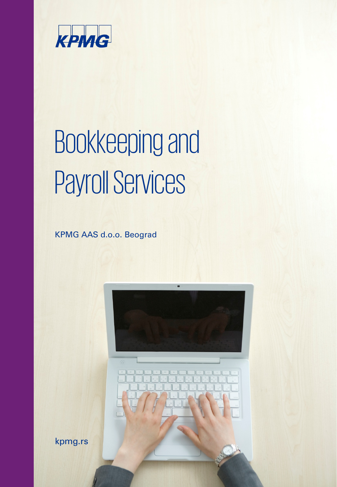

# Bookkeepingand Payroll Services

KPMG AAS d.o.o. Beograd



kpmg.rs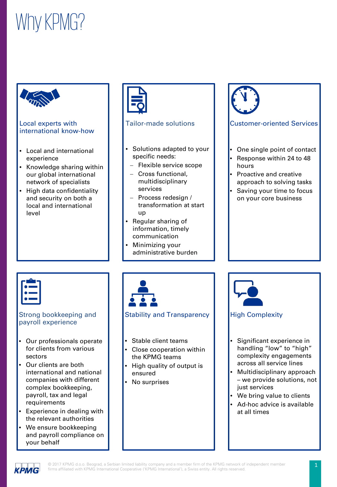# Why KPMG?



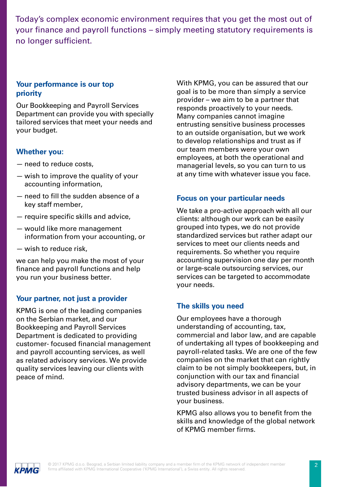Today's complex economic environment requires that you get the most out of your finance and payroll functions – simply meeting statutory requirements is no longer sufficient.

#### **Your performance is our top priority**

Our Bookkeeping and Payroll Services Department can provide you with specially tailored services that meet your needs and your budget.

#### **Whether you:**

- need to reduce costs,
- wish to improve the quality of your accounting information,
- need to fill the sudden absence of a key staff member,
- require specific skills and advice,
- would like more management information from your accounting, or
- wish to reduce risk,

we can help you make the most of your finance and payroll functions and help you run your business better.

#### **Your partner, not just a provider**

KPMG is one of the leading companies on the Serbian market, and our Bookkeeping and Payroll Services Department is dedicated to providing customer- focused financial management and payroll accounting services, as well as related advisory services. We provide quality services leaving our clients with peace of mind.

With KPMG, you can be assured that our goal is to be more than simply a service provider – we aim to be a partner that responds proactively to your needs. Many companies cannot imagine entrusting sensitive business processes to an outside organisation, but we work to develop relationships and trust as if our team members were your own employees, at both the operational and managerial levels, so you can turn to us at any time with whatever issue you face.

#### **Focus on your particular needs**

We take a pro-active approach with all our clients: although our work can be easily grouped into types, we do not provide standardized services but rather adapt our services to meet our clients needs and requirements. So whether you require accounting supervision one day per month or large-scale outsourcing services, our services can be targeted to accommodate your needs.

#### **The skills you need**

Our employees have a thorough understanding of accounting, tax, commercial and labor law, and are capable of undertaking all types of bookkeeping and payroll-related tasks. We are one of the few companies on the market that can rightly claim to be not simply bookkeepers, but, in conjunction with our tax and financial advisory departments, we can be your trusted business advisor in all aspects of your business.

KPMG also allows you to benefit from the skills and knowledge of the global network of KPMG member firms.

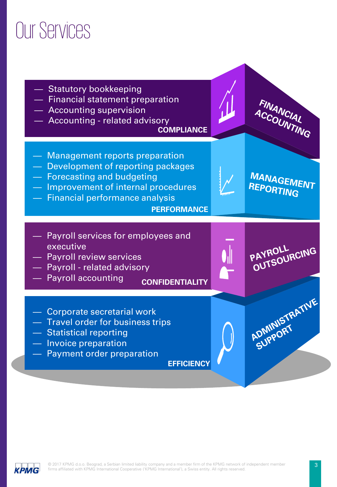### Our Services



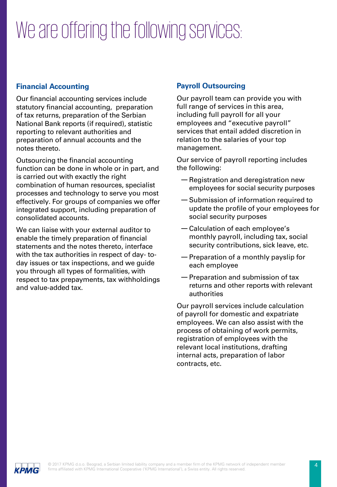# We are offering the following services:

#### **Financial Accounting**

Our financial accounting services include statutory financial accounting, preparation of tax returns, preparation of the Serbian National Bank reports (if required), statistic reporting to relevant authorities and preparation of annual accounts and the notes thereto.

Outsourcing the financial accounting function can be done in whole or in part, and is carried out with exactly the right combination of human resources, specialist processes and technology to serve you most effectively. For groups of companies we offer integrated support, including preparation of consolidated accounts.

We can liaise with your external auditor to enable the timely preparation of financial statements and the notes thereto, interface with the tax authorities in respect of day- today issues or tax inspections, and we guide you through all types of formalities, with respect to tax prepayments, tax withholdings and value-added tax.

#### **Payroll Outsourcing**

Our payroll team can provide you with full range of services in this area, including full payroll for all your employees and "executive payroll" services that entail added discretion in relation to the salaries of your top management.

Our service of payroll reporting includes the following:

- —Registration and deregistration new employees for social security purposes
- —Submission of information required to update the profile of your employees for social security purposes
- —Calculation of each employee's monthly payroll, including tax, social security contributions, sick leave, etc.
- —Preparation of a monthly payslip for each employee
- —Preparation and submission of tax returns and other reports with relevant authorities

Our payroll services include calculation of payroll for domestic and expatriate employees. We can also assist with the process of obtaining of work permits, registration of employees with the relevant local institutions, drafting internal acts, preparation of labor contracts, etc.

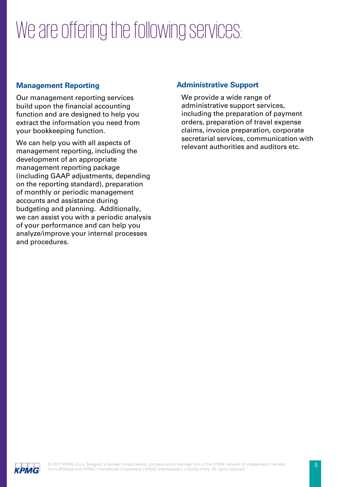# We are offering the following services:

#### **Management Reporting**

Our management reporting services build upon the financial accounting function and are designed to help you extract the information you need from your bookkeeping function.

We can help you with all aspects of management reporting, including the development of an appropriate management reporting package (including GAAP adjustments, depending on the reporting standard), preparation of monthly or periodic management accounts and assistance during budgeting and planning. Additionally, we can assist you with a periodic analysis of your performance and can help you analyze/improve your internal processes and procedures.

#### **Administrative Support**

We provide a wide range of administrative support services, including the preparation of payment orders, preparation of travel expense claims, invoice preparation, corporate secretarial services, communication with relevant authorities and auditors etc.

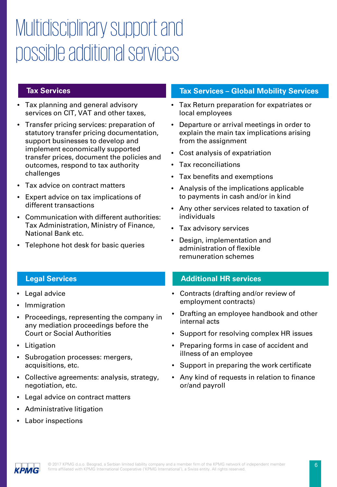### Multidisciplinary support and possible additional services

#### **Tax Services**

- Tax planning and general advisory services on CIT, VAT and other taxes,
- Transfer pricing services: preparation of statutory transfer pricing documentation, support businesses to develop and implement economically supported transfer prices, document the policies and outcomes, respond to tax authority challenges
- Tax advice on contract matters
- Expert advice on tax implications of different transactions
- Communication with different authorities: Tax Administration, Ministry of Finance, National Bank etc.
- Telephone hot desk for basic queries

#### **Tax Services – Global Mobility Services**

- Tax Return preparation for expatriates or local employees
- Departure or arrival meetings in order to explain the main tax implications arising from the assignment
- Cost analysis of expatriation
- Tax reconciliations
- Tax benefits and exemptions
- Analysis of the implications applicable to payments in cash and/or in kind
- Any other services related to taxation of individuals
- Tax advisory services
- Design, implementation and administration of flexible remuneration schemes

#### **Additional HR services**

- Contracts (drafting and/or review of employment contracts)
- Drafting an employee handbook and other internal acts
- Support for resolving complex HR issues
- Preparing forms in case of accident and illness of an employee
- Support in preparing the work certificate
- Any kind of requests in relation to finance or/and payroll

#### **Legal Services**

- Legal advice
- **Immigration**
- Proceedings, representing the company in any mediation proceedings before the Court or Social Authorities
- **Litigation**
- Subrogation processes: mergers, acquisitions, etc.
- Collective agreements: analysis, strategy, negotiation, etc.
- Legal advice on contract matters
- Administrative litigation
- Labor inspections